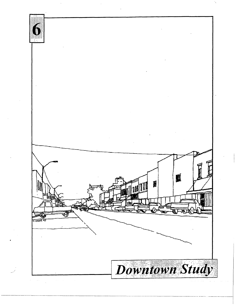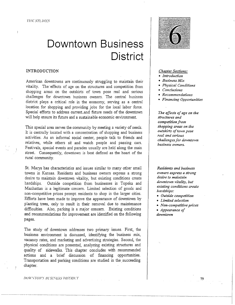# **Downtown Business District**

#### INTRODUCTION

American downtowns are continuously struggling to maintain their vitality. The effects of age on the structures and competition from shopping areas on the outskirts of town pose real and serious challenges for downtown business owners. The central business district plays a critical role in the economy, serving as a central location for shopping and providing jobs for the local labor force. Special efforts to address current-and future needs of the downtown will help ensure its future and a sustainable economic environment.

This special area serves the community by meeting a variety of needs. It is centrally located with a concentration of shopping and business activities. As an informal social center, people talk to friends and relatives, while others sit and watch people and passing cars. Festivals, special events and parades usually are held along the main street. Consequently, downtown *is* best defined as the heart of the rural community.

St. Marys has characteristics and issues similar to many other small towns in Kansas. Residents and business owners express a strong desire to maintain downtown vitality, but existing conditions create hardships. Outside competition from businesses in Topeka and Manhattan is a legitimate concern. Limited selection of goods and non-competitive prices prompt residents to shop in the larger cities. Efforts have been made to improve the appearance of downtown by planting trees, only to result in their removal due to maintenance difficulties. Also, parking is a major concern. Existing conditions and recommendations for improvement are identified on the following pages.

The study of downtown addresses two primary issues. First, the business environment is discussed, identifying the business mix, vacancy rates, and marketing and advertising strategies. Second, the physical conditions are presented, analyzing existing structures and quality of sidewalks. This chapter concludes with recommended actions and a brief discussion of financing opportunities. Transportation and parking conditions are studied in the succeeding chapter.

#### f)()if.STOW.\'Ul'Sf.\L'SS n1snucr



#### *Chapter Sections:*

- *Introduction*
- *Business Mix*
- *Physical Conditions*
- *Conclusions*
- *Recommendations*
- *Financinr: Opportunities*

*The effects of age on the structures and competition from shopping areas on the outskirts of town pose real and serious challenges for downtown business owners.* 

*Residents and business owners express a strong desire to maintain downtown vitality, but existing conditions create hardships:* 

- *Outside competition*
- *Limited selection*
- *Non-competitive prices*  • *Appearance of downtown*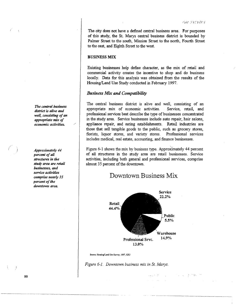in viewer gempel in

The city does not have a defined central business area. For purposes of this study, the St. Marys central business district is bounded by Palmer Street to the south, Mission Street to the north, Fourth Street to the east, and Eighth Street to the west.

## BUSINESS MIX

Existing businesses help define character, as the mix of retail and commercial activity creates the incentive to shop and do business locally. Data for this analysis was obtained from the results of the Housing/Land Use Study conducted in February 1997.

#### *Business Mix and Compatibility*

The central business district is alive and well, consisting of an appropriate mix of economic activities. Service, retail, and professional services best describe the type of businesses concentrated in the study area. Service businesses include auto repair, hair salons, appliance repair, and eating establishments. Retail industries are those that sell tangible goods to the public, such as grocery stores, florists, liquor stores, and variety stores. Professional services includes medical, real estate, accounting, and finance businesses.

Figure 6-1 shows the mix by business type. Approximately 44 percent of all structures in the study area are retail businesses. Service activities, including both general and professional services, comprise almost 35 percent of the downtown.

# Downtown Business Mix



Sourco: Housing/Land Uso Survoy, 1997, KSU

*Figure 6-1. Downtown business mix in St. Marys.* 

*The central business district is alive and well, consisting of an appropriate mix of economic activities.* /

i

*Approximately 44 percent of all structures in the study area are retail businesses, and service activities comprise nearly 35 percent of the downtown area.*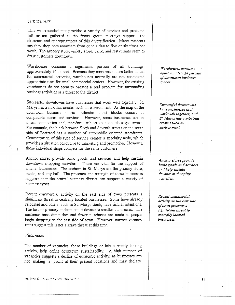#### '/'llr STl.'/)fES

This well-rounded mix provides a variety of services and products. Information gathered at the focus group meetings supports the existence and appropriateness of this diversification. Many residents say they shop here anywhere from once a day to five or six times per week. The grocery store, variety store, bank, and restaurants seem to draw customers downtown.

Warehouses consume a significant portion of all buildings, approximately 14 percent. Because they consume spaces better suited for commercial activities, warehouses normally are not considered appropriate uses for small commercial centers. However, the existing warehouses do not seem to present a real problem for surrounding business activities or a threat to the district.

Successful downtowns have businesses that work well together: St. Marys has a mix that creates such an environment. As the map of the downtown business district indicates, most blocks consist of compatible stores and services. However, some businesses are in direct competition and, therefore, subject to a double-edged sword. For example, the block between Sixth and Seventh streets on the south side of Bertrand has a number of automobile oriented storefronts. Concentration of this type of service creates a specialty node, which provides a situation conducive to marketing and promotion. However, those individual shops compete for the same customers.

Anchor stores provide basic goods and services and help sustain downtown shopping activities. These are vital for the support of smaller businesses. The anchors in St. Marys are the grocery store, banks, and city hall. The presence and strength of these businesses suggests that the central business district can support a variety of business types.

Recent commercial activity on the east side of town presents a significant threat to centrally located businesses. Some have already relocated and others, such as St. Marys Bank, have similar intentions. The loss of primary anchors could devastate smaller businesses. The customer base diminishes and fewer purchases are made as people begin shopping on the east side of town. However, current vacancy rates suggest this is not a grave threat at this time.

## *Vacancies*

The number of vacancies, those buildings or lots currently lacking activity, help define downtown sustainability. A high number of vacancies suggests a decline of economic activity, as businesses are not making a profit at their present locations and may declare

#### DOWNTOWN-BUSINESS DISTRICT

*Warehouses consume approximately 14 percent of downtown business spaces.* 

*Successful downtowns have businesses that work well together, and St. Marys has a mix that creates such an environment.* 

*Anchor stores provide*  · *basic goods and services and help sustain downtown shopping activities.* 

*Recent commercial activity on the east side of town presents a significant threat to centrally located businesses.* 

81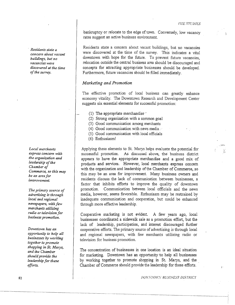1· ,'."

1·

· *Residents state a concern about vacant buildings, but no vacancies were discovered at the time of the survey.* 

*Local merchants e.'Cpress concern with the organization and leadership of the Chamber of Commerce, so this may be an area for imvrovement.* 

*The primary source of advertising is through local and regional newspapers, with few merchants utilizing radio or television for business promotion.* 

*Downtown has an opportunity to help all businesses by working together to promote shopping in St. Marys, and the Chamber should provide the leadership for these efforts.* 

bankruptcy or relocate to the edge of town. Conversely, low vacancy rates suggest an active business environment.

Residents state a concern about vacant buildings, but no vacancies were discovered at the time of the survey. This indicates a vital downtown with hope for the future. To prevent future vacancies, relocation outside the central business area should be discouraged and concepts for attracting appropriate businesses should be developed. Furthermore, future vacancies should be filled immediately.

# *Marketing and Promotion*

The effective promotion of local business can greatly enhance economy vitality. The Downtown Research and Development Center suggests six essential elements for successful promotion:

- (1) The appropriate merchandise $\sim$ 
	- (2) Strong organization with a common goal
	- (3) Good communication among merchants
	- (4) Good communication with news media  $\cdot$
	- (5) Good communication with local officials
	- (6) Enthusiasm!

Applying these elements to St. Marys helps evaluate the potential for successful promotion. As discussed above, the business district appears to have the appropriate merchandise and a good mix of prodµcts and services. However, local merchants express concern with the organization and leadership of the Chamber of Commerce, so this may be an area for improvement. Many business owners and residents discuss the lack of communication between businesses, a factor that inhibits efforts to improve the quality of downtown promotion. Communication between local officials and the news media, however, seems favorable. Enthusiasm may be restrained by inadequate communication and cooperation, but could be enhanced through more effective leadership.

Cooperative marketing is not evident. A few years ago, local businesses coordinated a sidewalk sale as a promotion effort, but the lack of leadership, participation, and interest discouraged further cooperative efforts. The primary source of advertising is through local and regional newspapers, with few merchants utilizing radio or television for business promotion.

The concentration of businesses in one location is an ideal situation for marketing. Downtown has an opportunity to help all businesses by working together to promote shopping in St. Marys, and the Chamber of Commerce should provide the leadership for these efforts. ·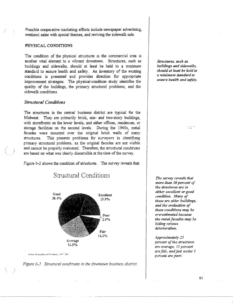Possible cooperative marketing efforts include newspaper advertising, weekend sales with special themes, and reviving the sidewalk sale.

### PHYSICAL CONDITIONS

The condition of the physical structures m the commercial area is another vital element to a vibrant downtown. Structures, such as buildings and sidewalks, should at least be held to a mmimum standard to ensure health and safety. An inventory of the existing conditions is presented and provides direction for appropriate improvement strategies. The physical-condition study identifies the quality of the buildings, the primary structural problems, and the sidewalk conditions.

## *Structural Conditions*

The structures in the central business district are typical for the Midwest. Tuey are primarily brick, one- and two-story buildings, with storefronts on the lower levels, and either offices, residences, or storage facilities on the second levels. During the 1960s, metal facades were mounted over the original brick walls of many structures. This presents problems for surveyors in identifymg primary structural problems, as the original facades are not visible and cannot be properly evaluated. Therefore, the structural conditions are based on what was clearly discernible at the time of the survey.

figure 6-2 shows the condition of structures. The survey reveals that



Structural Conditions

Source: Hensingclair d'Use Survey, 1997, XSU

I  $^{\prime}$  .



*Structures, such as buildings and sidewalks, sho11ld* ut *least be held to a minimum standard to ensure health and safety.* 

*The survey reveals that more t/1an 50 percent of the structures are in*  $either$  excellent or good *condition.* Many of *these are older buildings, and the evaluation of these conditions* may *be m·erestimated because*  the metal facades may be *lziding serious deterioration.* 

*Approximately 25 percent of the structure\$ an· average, 15 percent are /air, and just under 3*  p..:rcent *are poor.*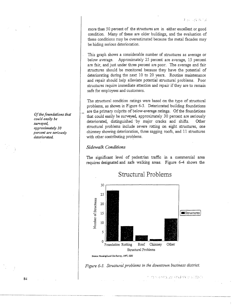more than 50 percent of the structures are in either excellent or good condition. Many of these are older buildings, and the evaluation of these conditions may be overestimated because the metal facades may be hiding serious deterioration.

This graph shows a considerable number of structures as average or below average. Approximately 25 percent are average, 15 percent are fair, and just under three percent are poor. The average and fair structures should be monitored because they have the potential of deteriorating during the next 10 to 20 years. Routine maintenance and repair should help alleviate potential structural problems. Poor structures require immediate attention and repair if they are to remain safe for employees and customers.

The structural condition ratings were based on the type of structural problems, as shown in Figure 6-3. Deteriorated building foundations are the primary culprits of below-average ratings. Of the foundations that could easily be surveyed, approximately 30 percent are seriously deteriorated, distinguished by major cracks and shifts. Other structural problems include severe rotting on eight structures, one chimney showing deterioration, three sagging roofs, and 11 structures with other contributing problems.

# *Sidewalk Conditions*

The significant level of pedestrian traffic in a commercial area requires designated and safe walking areas. Figure 6-4 shows the



# Structural Problems

Figure 6-3. Structural problems in the downtown business district.

·r., .·• /.· · ... ;-. , .......

*Of the foundations that could easily be surveyed, approximately 30 percent are seriously deteriorated.* 

84

Source: Housing/Land Use Survey, 1997, KSU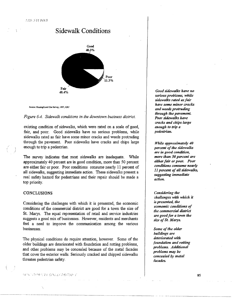# Sidewalk Conditions



Source: Howing/Land Uoe Survey, 1997, KBU

#### *Figure 6-4. Sidewalk conditions in the downtown business district.*

existing condition of sidewalks, which were rated on a scale of good, fair, and poor. Good sidewalks have no serious problems, while sidewalks rated as fair have some minor cracks and weeds protruding through the pavement. Poor sidewalks have cracks and chips large enough to trip a pedestrian.

The survey indicates that most sidewalks are inadequate. While approximately 40 percent are in good condition, more than 50 percent are either fair or poor. Poor conditions consume nearly 11 percent of all sidewalks, suggesting immediate action. These sidewalks present a real safety hazard for pedestrians and their repair should be made a top priority.

#### CONCLUSIONS

 $\overline{)}$ J

> Considering the challenges with which it is presented, the economic conditions of the commercial district are good for a town the size of St. Marys. The equal representation of retail and service industries suggests a good mix of businesses. However, residents and merchants feel a need to improve the communication among the various businesses.

> The physical conditions do require attention, however. Some of the older buildings are deteriorated with foundation and rotting problems, and other problems may be concealed because of the metal facades that cover the exterior walls. Seriously cracked and chipped sidewalks threaten pedestrian safety.

*Good sidewalks have 110 serio11s problems, while sidewalks rated as fair have some minor cracks and weeds protruding through the pavement.*  Poor sidewalks have *cracks and chips large enough to trip* a *pedestrian.* 

*While approximately 40 percent of the sidewalks are in good condition, more than* 50 *percent are either fair or poor. Poor conditions consume nearly 11 percent of all sidewalks, suggesting immediate action.* 

*Considering the challenges with which it is presented, the economic conditions of the commercial district are good for a town the size of* St. *Marys.* 

*Some of the older buildings are deteriorated with foundation and rotting problems. Additional problems may be concealed by metal facades.* 

- - - -------------------